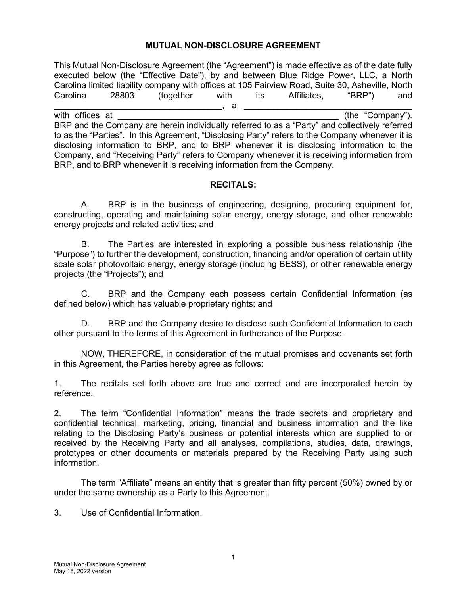## **MUTUAL NON-DISCLOSURE AGREEMENT**

This Mutual Non-Disclosure Agreement (the "Agreement") is made effective as of the date fully executed below (the "Effective Date"), by and between Blue Ridge Power, LLC, a North Carolina limited liability company with offices at 105 Fairview Road, Suite 30, Asheville, North Carolina 28803 (together with its Affiliates, "BRP") and \_\_\_\_\_\_\_\_\_\_\_\_\_\_\_\_\_\_\_\_\_\_\_\_\_\_\_\_\_\_\_\_\_\_\_, a \_\_\_\_\_\_\_\_\_\_\_\_\_\_\_\_\_\_\_\_\_\_\_\_\_\_\_\_\_\_\_\_\_\_\_ with offices at  $\qquad \qquad$  (the "Company"). BRP and the Company are herein individually referred to as a "Party" and collectively referred to as the "Parties". In this Agreement, "Disclosing Party" refers to the Company whenever it is disclosing information to BRP, and to BRP whenever it is disclosing information to the Company, and "Receiving Party" refers to Company whenever it is receiving information from BRP, and to BRP whenever it is receiving information from the Company.

## **RECITALS:**

A. BRP is in the business of engineering, designing, procuring equipment for, constructing, operating and maintaining solar energy, energy storage, and other renewable energy projects and related activities; and

B. The Parties are interested in exploring a possible business relationship (the "Purpose") to further the development, construction, financing and/or operation of certain utility scale solar photovoltaic energy, energy storage (including BESS), or other renewable energy projects (the "Projects"); and

C. BRP and the Company each possess certain Confidential Information (as defined below) which has valuable proprietary rights; and

D. BRP and the Company desire to disclose such Confidential Information to each other pursuant to the terms of this Agreement in furtherance of the Purpose.

NOW, THEREFORE, in consideration of the mutual promises and covenants set forth in this Agreement, the Parties hereby agree as follows:

1. The recitals set forth above are true and correct and are incorporated herein by reference.

2. The term "Confidential Information" means the trade secrets and proprietary and confidential technical, marketing, pricing, financial and business information and the like relating to the Disclosing Party's business or potential interests which are supplied to or received by the Receiving Party and all analyses, compilations, studies, data, drawings, prototypes or other documents or materials prepared by the Receiving Party using such information.

The term "Affiliate" means an entity that is greater than fifty percent (50%) owned by or under the same ownership as a Party to this Agreement.

3. Use of Confidential Information.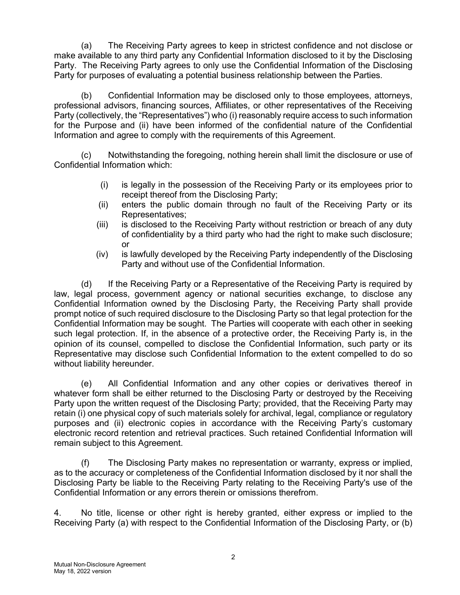(a) The Receiving Party agrees to keep in strictest confidence and not disclose or make available to any third party any Confidential Information disclosed to it by the Disclosing Party. The Receiving Party agrees to only use the Confidential Information of the Disclosing Party for purposes of evaluating a potential business relationship between the Parties.

(b) Confidential Information may be disclosed only to those employees, attorneys, professional advisors, financing sources, Affiliates, or other representatives of the Receiving Party (collectively, the "Representatives") who (i) reasonably require access to such information for the Purpose and (ii) have been informed of the confidential nature of the Confidential Information and agree to comply with the requirements of this Agreement.

(c) Notwithstanding the foregoing, nothing herein shall limit the disclosure or use of Confidential Information which:

- (i) is legally in the possession of the Receiving Party or its employees prior to receipt thereof from the Disclosing Party;
- (ii) enters the public domain through no fault of the Receiving Party or its Representatives;
- (iii) is disclosed to the Receiving Party without restriction or breach of any duty of confidentiality by a third party who had the right to make such disclosure; or
- (iv) is lawfully developed by the Receiving Party independently of the Disclosing Party and without use of the Confidential Information.

(d) If the Receiving Party or a Representative of the Receiving Party is required by law, legal process, government agency or national securities exchange, to disclose any Confidential Information owned by the Disclosing Party, the Receiving Party shall provide prompt notice of such required disclosure to the Disclosing Party so that legal protection for the Confidential Information may be sought. The Parties will cooperate with each other in seeking such legal protection. If, in the absence of a protective order, the Receiving Party is, in the opinion of its counsel, compelled to disclose the Confidential Information, such party or its Representative may disclose such Confidential Information to the extent compelled to do so without liability hereunder.

(e) All Confidential Information and any other copies or derivatives thereof in whatever form shall be either returned to the Disclosing Party or destroyed by the Receiving Party upon the written request of the Disclosing Party; provided, that the Receiving Party may retain (i) one physical copy of such materials solely for archival, legal, compliance or regulatory purposes and (ii) electronic copies in accordance with the Receiving Party's customary electronic record retention and retrieval practices. Such retained Confidential Information will remain subject to this Agreement.

(f) The Disclosing Party makes no representation or warranty, express or implied, as to the accuracy or completeness of the Confidential Information disclosed by it nor shall the Disclosing Party be liable to the Receiving Party relating to the Receiving Party's use of the Confidential Information or any errors therein or omissions therefrom.

4. No title, license or other right is hereby granted, either express or implied to the Receiving Party (a) with respect to the Confidential Information of the Disclosing Party, or (b)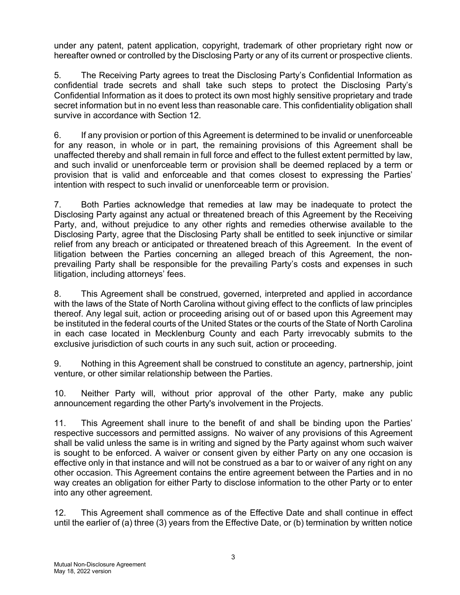under any patent, patent application, copyright, trademark of other proprietary right now or hereafter owned or controlled by the Disclosing Party or any of its current or prospective clients.

5. The Receiving Party agrees to treat the Disclosing Party's Confidential Information as confidential trade secrets and shall take such steps to protect the Disclosing Party's Confidential Information as it does to protect its own most highly sensitive proprietary and trade secret information but in no event less than reasonable care. This confidentiality obligation shall survive in accordance with Section 12.

6. If any provision or portion of this Agreement is determined to be invalid or unenforceable for any reason, in whole or in part, the remaining provisions of this Agreement shall be unaffected thereby and shall remain in full force and effect to the fullest extent permitted by law, and such invalid or unenforceable term or provision shall be deemed replaced by a term or provision that is valid and enforceable and that comes closest to expressing the Parties' intention with respect to such invalid or unenforceable term or provision.

7. Both Parties acknowledge that remedies at law may be inadequate to protect the Disclosing Party against any actual or threatened breach of this Agreement by the Receiving Party, and, without prejudice to any other rights and remedies otherwise available to the Disclosing Party, agree that the Disclosing Party shall be entitled to seek injunctive or similar relief from any breach or anticipated or threatened breach of this Agreement. In the event of litigation between the Parties concerning an alleged breach of this Agreement, the nonprevailing Party shall be responsible for the prevailing Party's costs and expenses in such litigation, including attorneys' fees.

8. This Agreement shall be construed, governed, interpreted and applied in accordance with the laws of the State of North Carolina without giving effect to the conflicts of law principles thereof. Any legal suit, action or proceeding arising out of or based upon this Agreement may be instituted in the federal courts of the United States or the courts of the State of North Carolina in each case located in Mecklenburg County and each Party irrevocably submits to the exclusive jurisdiction of such courts in any such suit, action or proceeding.

9. Nothing in this Agreement shall be construed to constitute an agency, partnership, joint venture, or other similar relationship between the Parties.

10. Neither Party will, without prior approval of the other Party, make any public announcement regarding the other Party's involvement in the Projects.

11. This Agreement shall inure to the benefit of and shall be binding upon the Parties' respective successors and permitted assigns. No waiver of any provisions of this Agreement shall be valid unless the same is in writing and signed by the Party against whom such waiver is sought to be enforced. A waiver or consent given by either Party on any one occasion is effective only in that instance and will not be construed as a bar to or waiver of any right on any other occasion. This Agreement contains the entire agreement between the Parties and in no way creates an obligation for either Party to disclose information to the other Party or to enter into any other agreement.

12. This Agreement shall commence as of the Effective Date and shall continue in effect until the earlier of (a) three (3) years from the Effective Date, or (b) termination by written notice